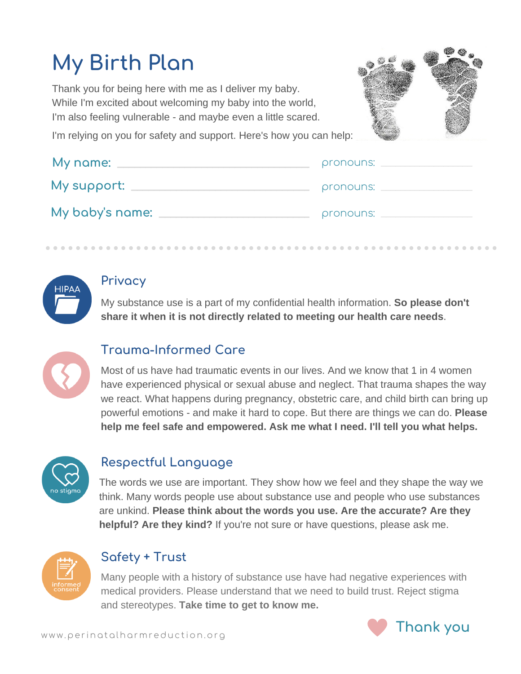# **My Birth Plan**

Thank you for being here with me as I deliver my baby. While I'm excited about welcoming my baby into the world, I'm also feeling vulnerable - and maybe even a little scared.



I'm relying on you for safety and support. Here's how you can help:

| My name:        | pronouns: |
|-----------------|-----------|
| My support:     | pronouns: |
| My baby's name: | pronouns: |

#### **Privacy**

My substance use is a part of my confidential health information. **So please don't share it when it is not directly related to meeting our health care needs**.



## **Trauma-Informed Care**

Most of us have had traumatic events in our lives. And we know that 1 in 4 women have experienced physical or sexual abuse and neglect. That trauma shapes the way we react. What happens during pregnancy, obstetric care, and child birth can bring up powerful emotions - and make it hard to cope. But there are things we can do. **Please help me feel safe and empowered. Ask me what I need. I'll tell you what helps.**



#### **Respectful Language**

The words we use are important. They show how we feel and they shape the way we think. Many words people use about substance use and people who use substances are unkind. **Please think about the words you use. Are the accurate? Are they helpful? Are they kind?** If you're not sure or have questions, please ask me.



## **Safety + Trust**

Many people with a history of substance use have had negative experiences with medical providers. Please understand that we need to build trust. Reject stigma and stereotypes. **Take time to get to know me.**

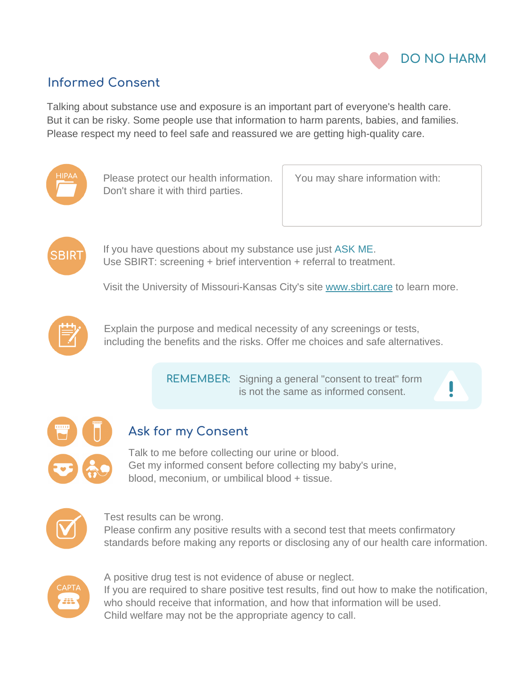

## **Informed Consent**

Talking about substance use and exposure is an important part of everyone's health care. But it can be risky. Some people use that information to harm parents, babies, and families. Please respect my need to feel safe and reassured we are getting high-quality care.



Please protect our health information. Don't share it with third parties.

You may share information with:



If you have questions about my substance use just ASK ME. Use SBIRT: screening + brief intervention + referral to treatment.

Visit the University of Missouri-Kansas City's site [www.sbirt.care](https://www.sbirt.care/) to learn more.



Explain the purpose and medical necessity of any screenings or tests, including the benefits and the risks. Offer me choices and safe alternatives.

> REMEMBER: Signing a general "consent to treat" form is not the same as informed consent.





## **Ask for my Consent**

Talk to me before collecting our urine or blood. Get my informed consent before collecting my baby's urine, blood, meconium, or umbilical blood + tissue.



Test results can be wrong.

Please confirm any positive results with a second test that meets confirmatory standards before making any reports or disclosing any of our health care information.



A positive drug test is not evidence of abuse or neglect. If you are required to share positive test results, find out how to make the notification, who should receive that information, and how that information will be used. Child welfare may not be the appropriate agency to call.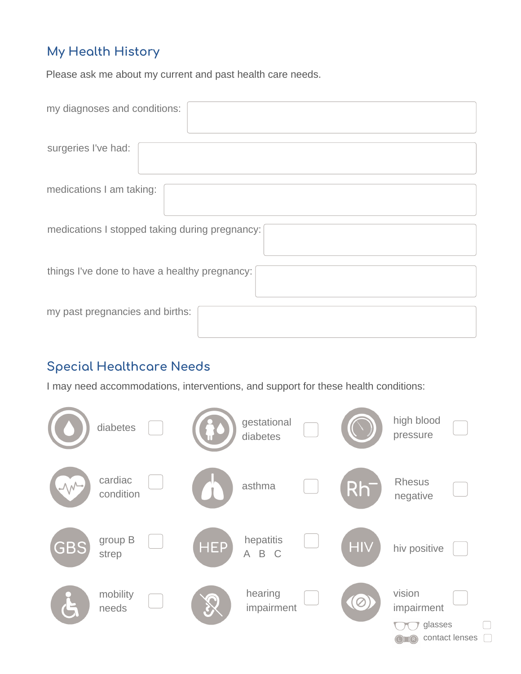# **My Health History**

Please ask me about my current and past health care needs.

| my diagnoses and conditions:                   |
|------------------------------------------------|
| surgeries I've had:                            |
| medications I am taking:                       |
| medications I stopped taking during pregnancy: |
| things I've done to have a healthy pregnancy:  |
| my past pregnancies and births:                |

## **Special Healthcare Needs**

I may need accommodations, interventions, and support for these health conditions:

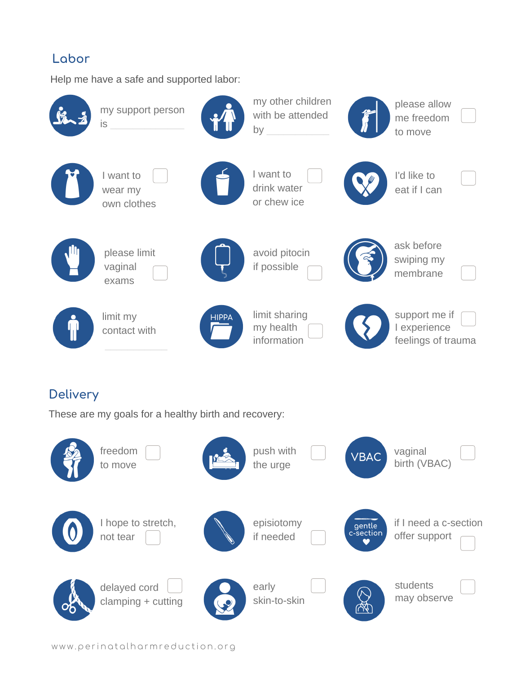#### **Labor**

Help me have a safe and supported labor:



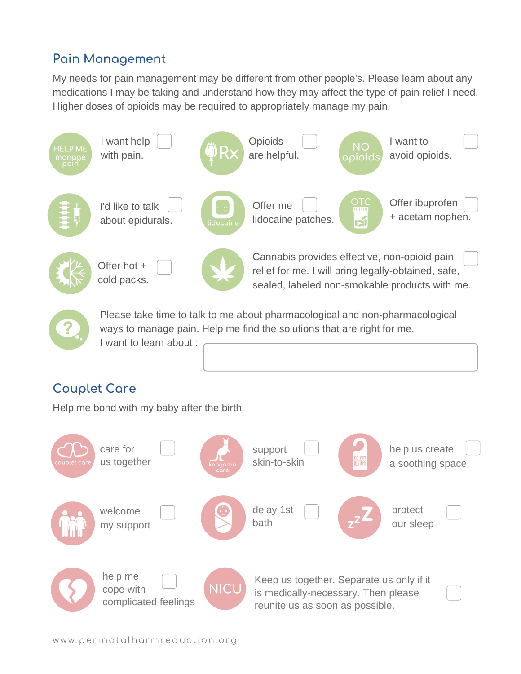## **Pain Management**

My needs for pain management may be different from other people's. Please learn about any medications I may be taking and understand how they may affect the type of pain relief I need. Higher doses of opioids may be required to appropriately manage my pain.



ways to manage pain. Help me find the solutions that are right for me. I want to learn about :

## **Couplet Care**

Help me bond with my baby after the birth.

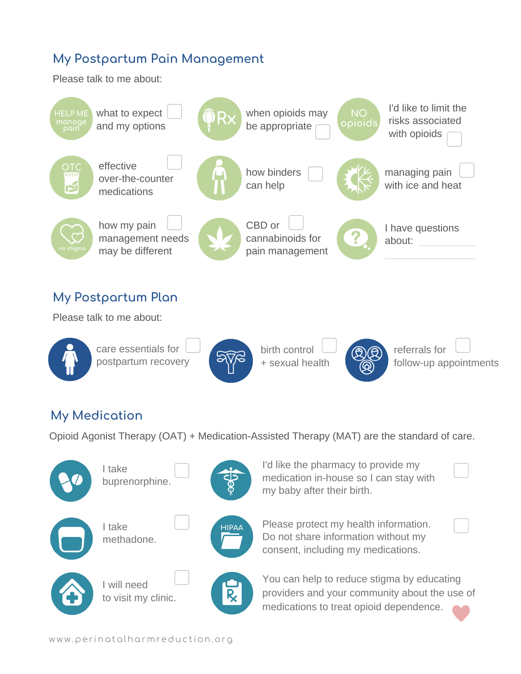## **My Postpartum Pain Management**

Please talk to me about:





care essentials for postpartum recovery



birth control + sexual health

referrals for follow-up appointments

#### **My Medication**

Opioid Agonist Therapy (OAT) + Medication-Assisted Therapy (MAT) are the standard of care.

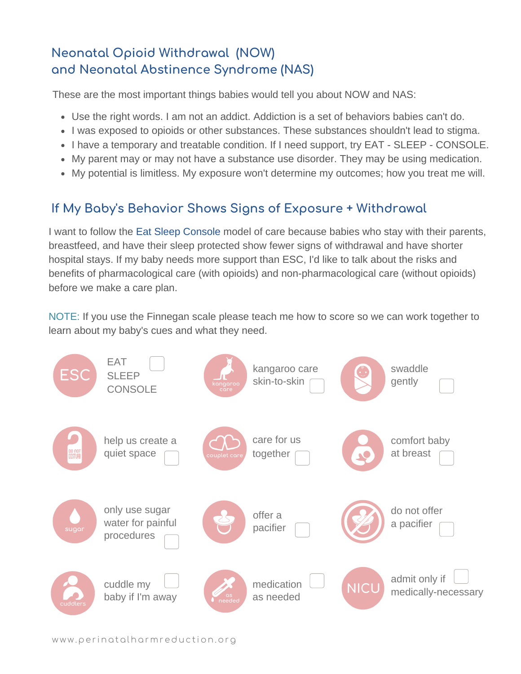# **Neonatal Opioid Withdrawal (NOW) and Neonatal Abstinence Syndrome (NAS)**

These are the most important things babies would tell you about NOW and NAS:

- Use the right words. I am not an addict. Addiction is a set of behaviors babies can't do.
- I was exposed to opioids or other substances. These substances shouldn't lead to stigma.
- I have a temporary and treatable condition. If I need support, try EAT SLEEP CONSOLE.
- My parent may or may not have a substance use disorder. They may be using medication.
- My potential is limitless. My exposure won't determine my outcomes; how you treat me will.

## **If My Baby's Behavior Shows Signs of Exposure + Withdrawal**

I want to follow the Eat Sleep Console model of care because babies who stay with their parents, breastfeed, and have their sleep protected show fewer signs of withdrawal and have shorter hospital stays. If my baby needs more support than ESC, I'd like to talk about the risks and benefits of pharmacological care (with opioids) and non-pharmacological care (without opioids) before we make a care plan.

NOTE: If you use the Finnegan scale please teach me how to score so we can work together to learn about my baby's cues and what they need.